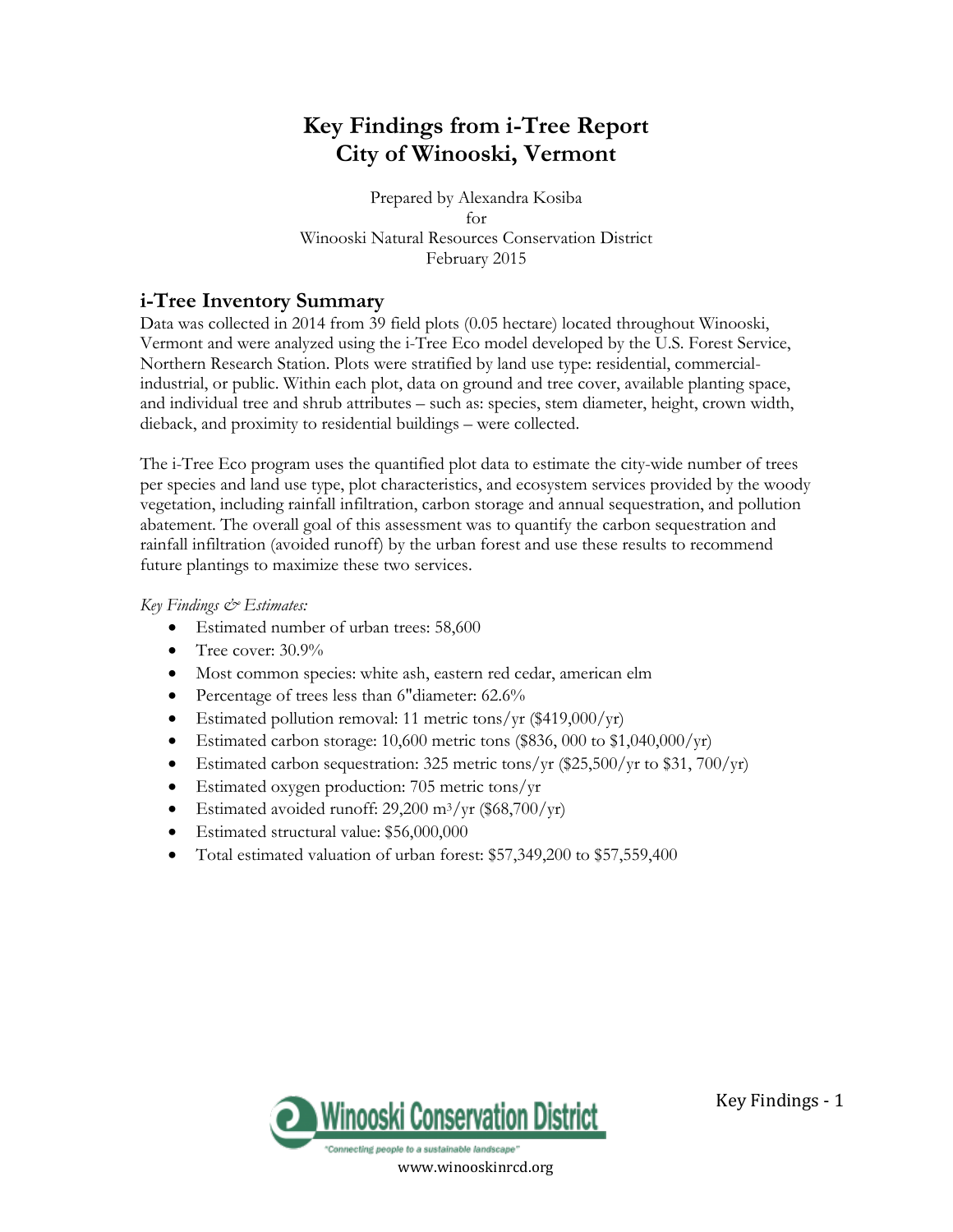# **Key Findings from i-Tree Report City of Winooski, Vermont**

Prepared by Alexandra Kosiba for Winooski Natural Resources Conservation District February 2015

### **i-Tree Inventory Summary**

Data was collected in 2014 from 39 field plots (0.05 hectare) located throughout Winooski, Vermont and were analyzed using the i-Tree Eco model developed by the U.S. Forest Service, Northern Research Station. Plots were stratified by land use type: residential, commercialindustrial, or public. Within each plot, data on ground and tree cover, available planting space, and individual tree and shrub attributes – such as: species, stem diameter, height, crown width, dieback, and proximity to residential buildings – were collected.

The i-Tree Eco program uses the quantified plot data to estimate the city-wide number of trees per species and land use type, plot characteristics, and ecosystem services provided by the woody vegetation, including rainfall infiltration, carbon storage and annual sequestration, and pollution abatement. The overall goal of this assessment was to quantify the carbon sequestration and rainfall infiltration (avoided runoff) by the urban forest and use these results to recommend future plantings to maximize these two services.

#### *Key Findings & Estimates:*

- Estimated number of urban trees: 58,600
- Tree cover: 30.9%
- Most common species: white ash, eastern red cedar, american elm
- Percentage of trees less than 6"diameter: 62.6%
- Estimated pollution removal: 11 metric tons/yr (\$419,000/yr)
- Estimated carbon storage: 10,600 metric tons (\$836, 000 to  $1,040,000/\text{yr}$ )
- Estimated carbon sequestration: 325 metric tons/yr  $(\$25,500/\text{yr}$  to  $\$31,700/\text{yr})$
- Estimated oxygen production: 705 metric tons/yr
- Estimated avoided runoff:  $29,200 \text{ m}^3/\text{yr}$  (\$68,700/yr)
- Estimated structural value: \$56,000,000
- Total estimated valuation of urban forest: \$57,349,200 to \$57,559,400

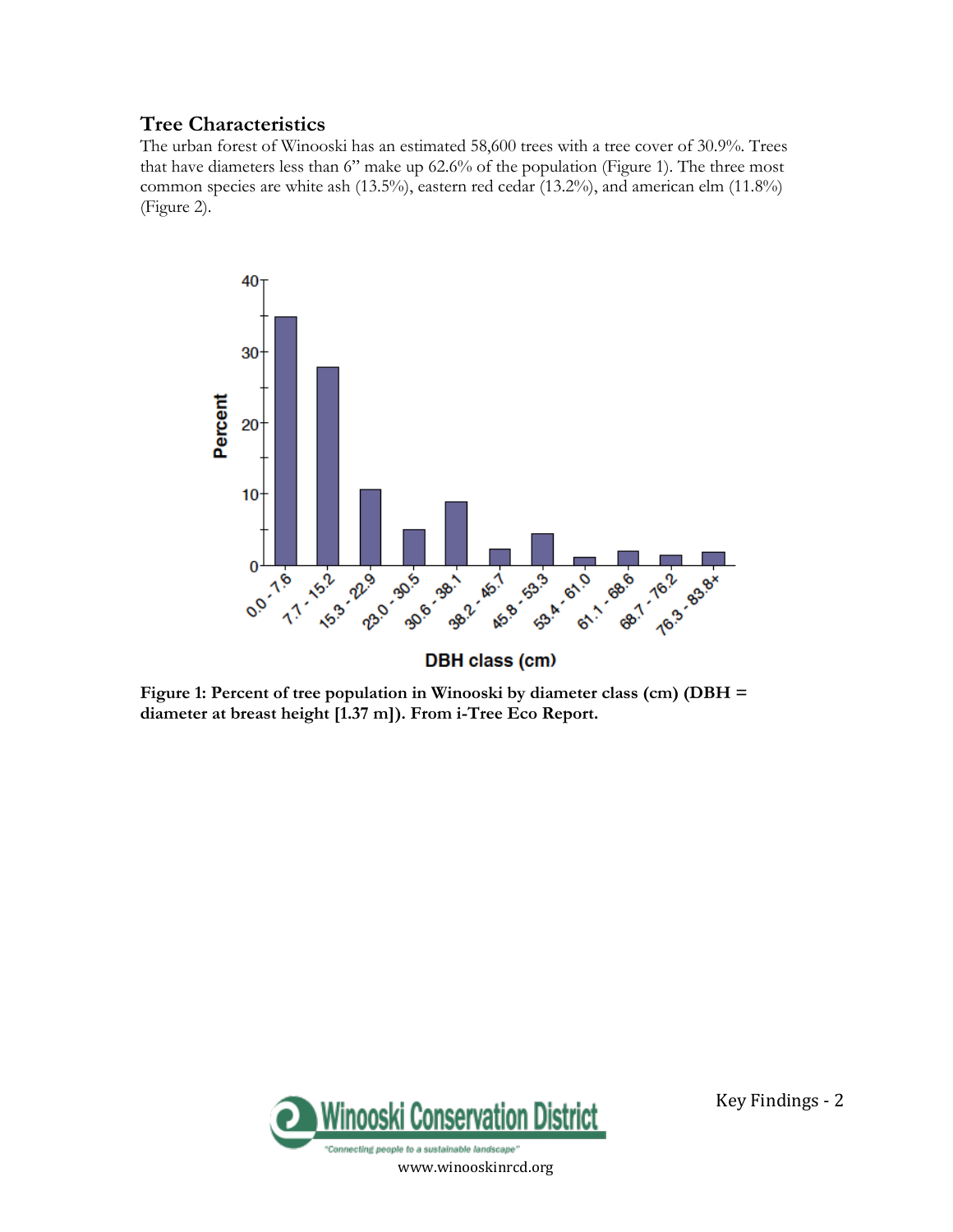#### **Tree Characteristics**

The urban forest of Winooski has an estimated 58,600 trees with a tree cover of 30.9%. Trees that have diameters less than 6" make up 62.6% of the population (Figure 1). The three most common species are white ash (13.5%), eastern red cedar (13.2%), and american elm (11.8%) (Figure 2).



**Figure 1: Percent of tree population in Winooski by diameter class (cm) (DBH = diameter at breast height [1.37 m]). From i-Tree Eco Report.** 

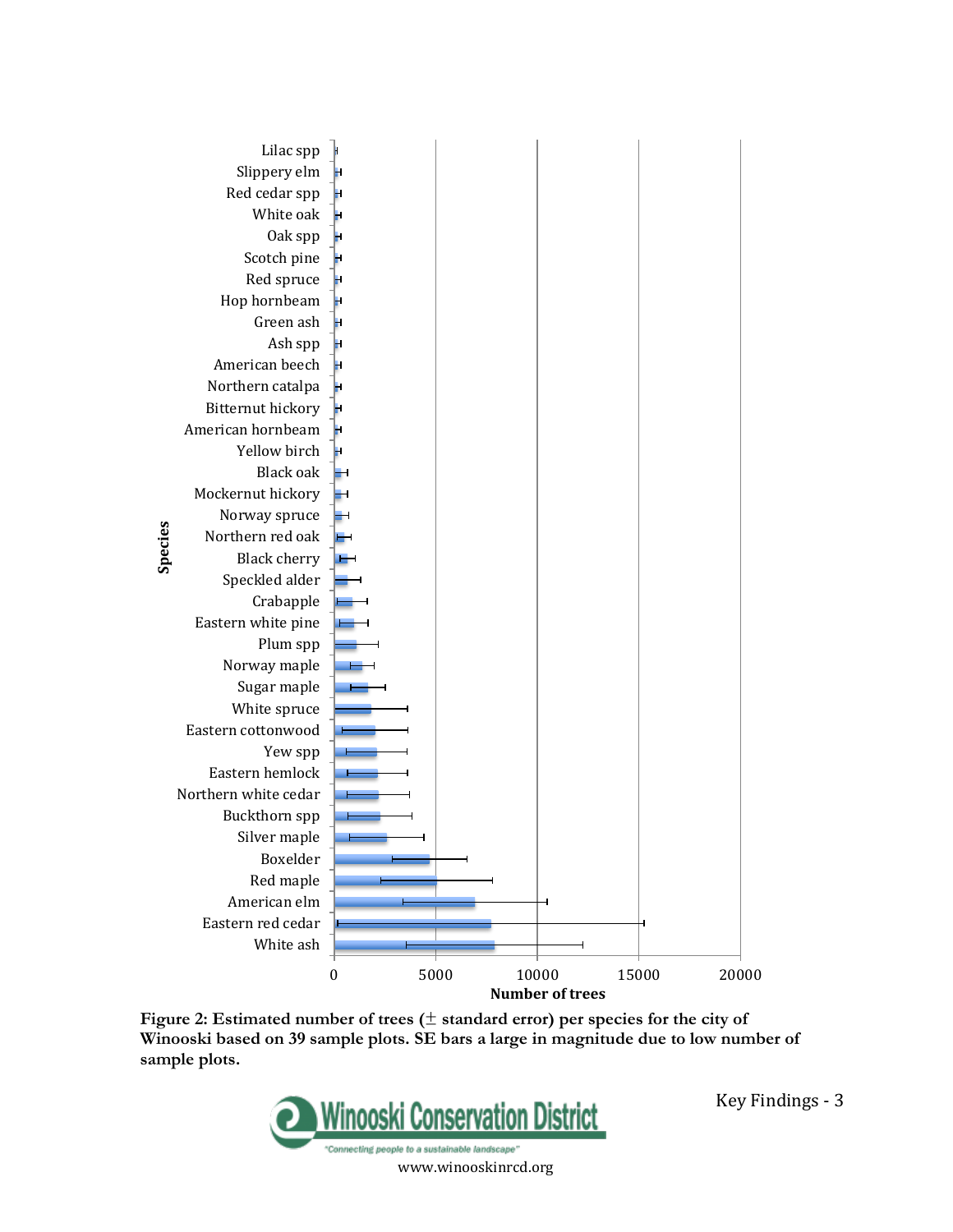

**Figure 2: Estimated number of trees (**± **standard error) per species for the city of Winooski based on 39 sample plots. SE bars a large in magnitude due to low number of sample plots.** 

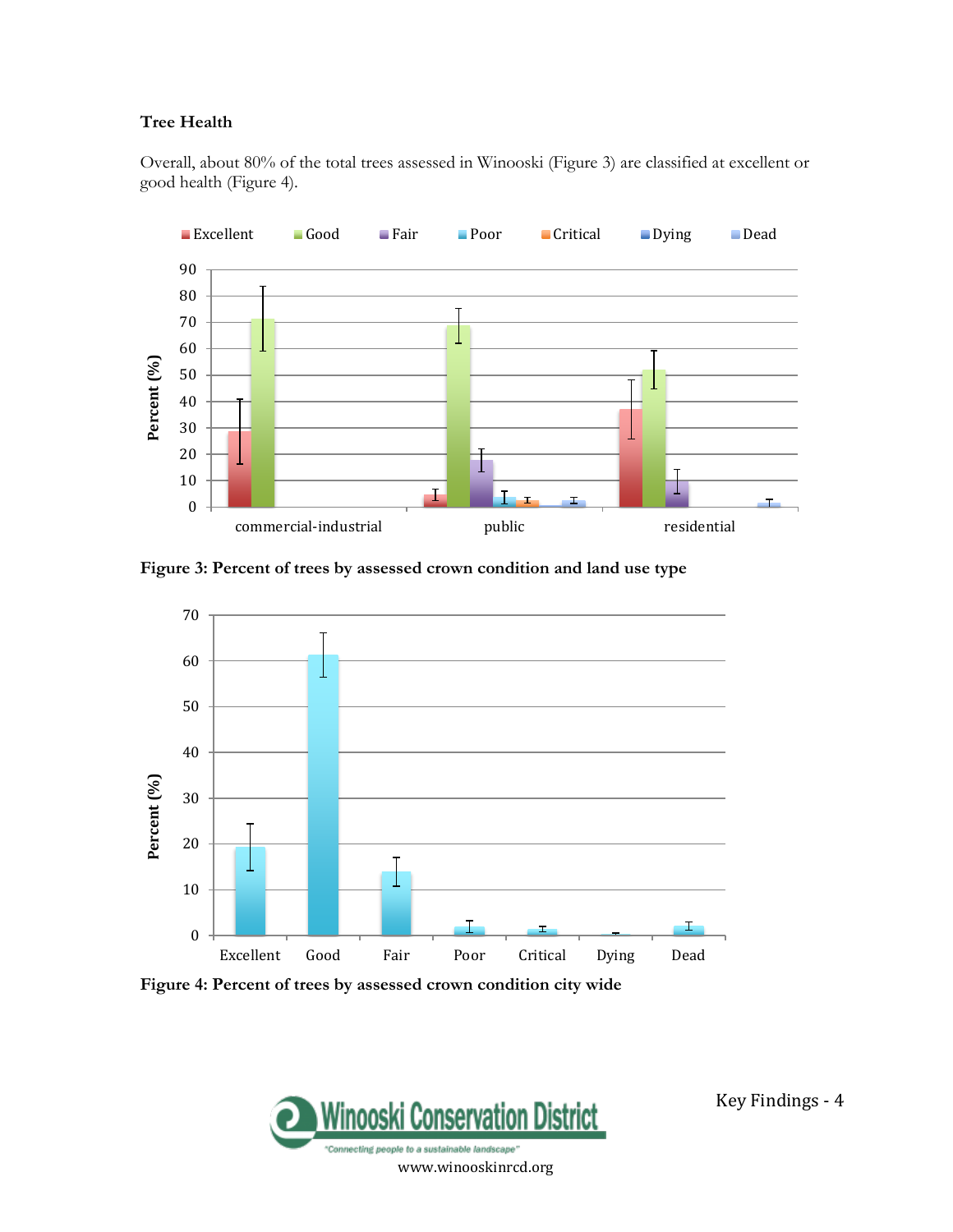#### **Tree Health**

Overall, about 80% of the total trees assessed in Winooski (Figure 3) are classified at excellent or good health (Figure 4).



**Figure 3: Percent of trees by assessed crown condition and land use type**



**Figure 4: Percent of trees by assessed crown condition city wide**

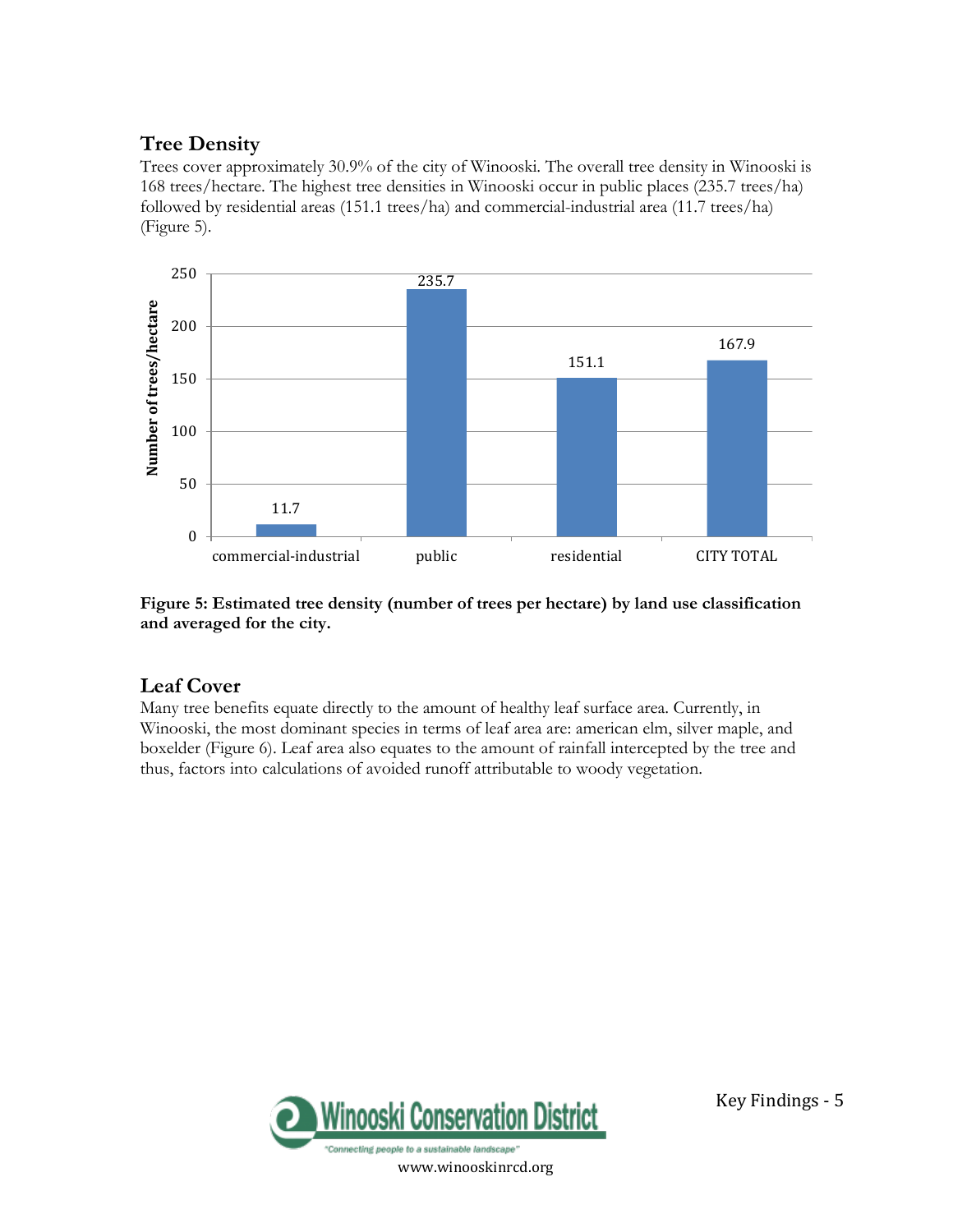## **Tree Density**

Trees cover approximately 30.9% of the city of Winooski. The overall tree density in Winooski is 168 trees/hectare. The highest tree densities in Winooski occur in public places (235.7 trees/ha) followed by residential areas (151.1 trees/ha) and commercial-industrial area (11.7 trees/ha) (Figure 5).





### **Leaf Cover**

Many tree benefits equate directly to the amount of healthy leaf surface area. Currently, in Winooski, the most dominant species in terms of leaf area are: american elm, silver maple, and boxelder (Figure 6). Leaf area also equates to the amount of rainfall intercepted by the tree and thus, factors into calculations of avoided runoff attributable to woody vegetation.

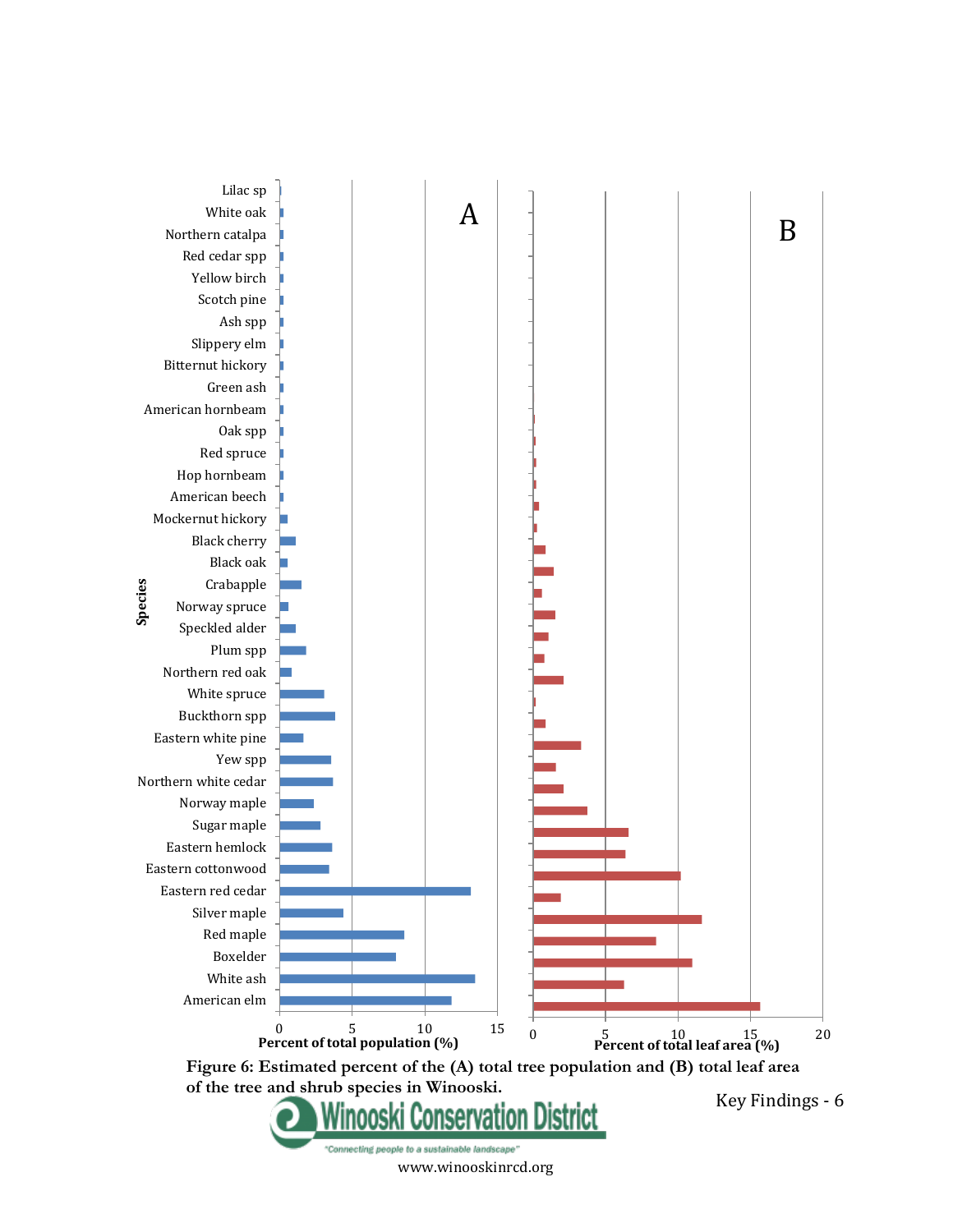



Key Findings - 6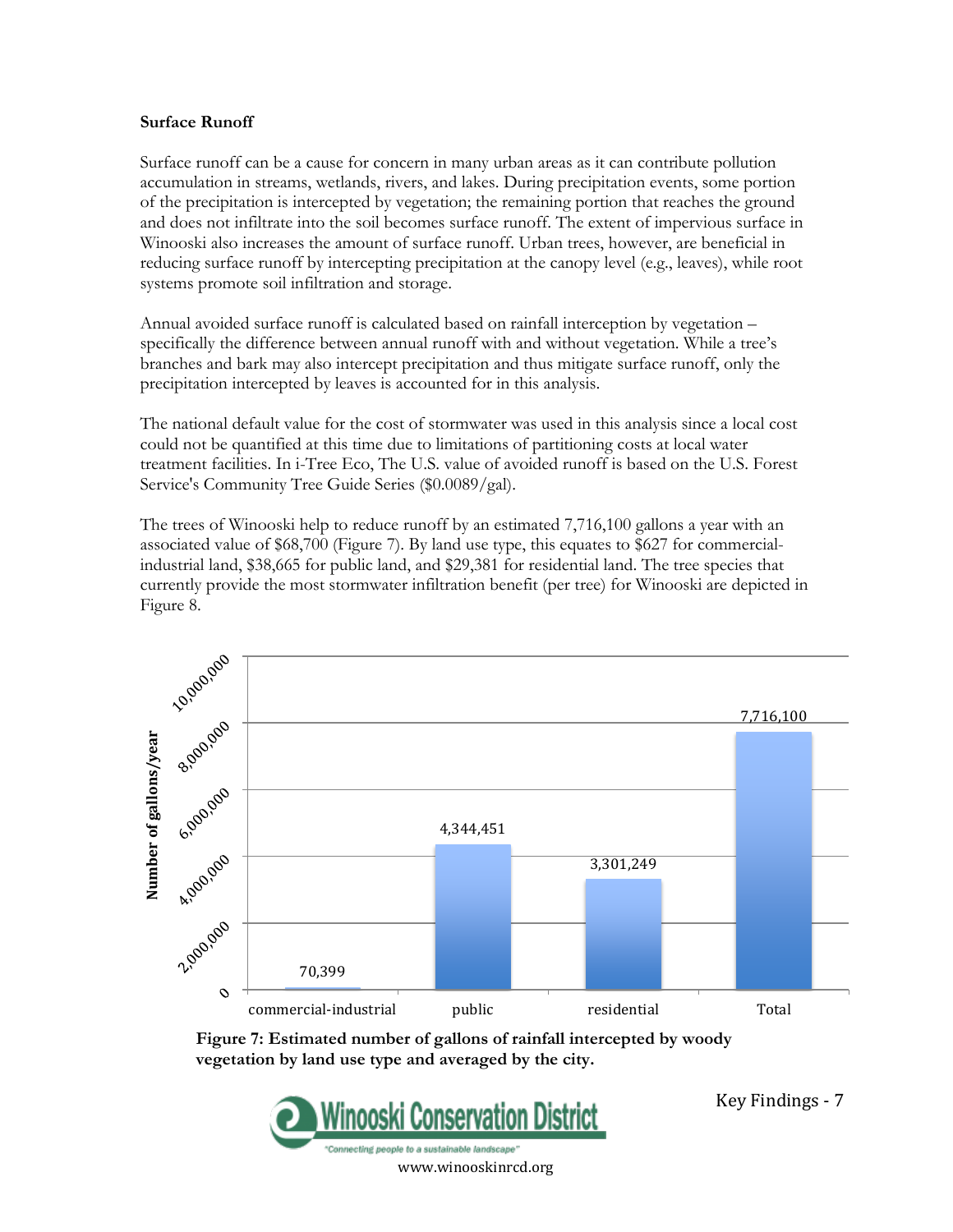#### **Surface Runoff**

Surface runoff can be a cause for concern in many urban areas as it can contribute pollution accumulation in streams, wetlands, rivers, and lakes. During precipitation events, some portion of the precipitation is intercepted by vegetation; the remaining portion that reaches the ground and does not infiltrate into the soil becomes surface runoff. The extent of impervious surface in Winooski also increases the amount of surface runoff. Urban trees, however, are beneficial in reducing surface runoff by intercepting precipitation at the canopy level (e.g., leaves), while root systems promote soil infiltration and storage.

Annual avoided surface runoff is calculated based on rainfall interception by vegetation – specifically the difference between annual runoff with and without vegetation. While a tree's branches and bark may also intercept precipitation and thus mitigate surface runoff, only the precipitation intercepted by leaves is accounted for in this analysis.

The national default value for the cost of stormwater was used in this analysis since a local cost could not be quantified at this time due to limitations of partitioning costs at local water treatment facilities. In i-Tree Eco, The U.S. value of avoided runoff is based on the U.S. Forest Service's Community Tree Guide Series (\$0.0089/gal).

The trees of Winooski help to reduce runoff by an estimated 7,716,100 gallons a year with an associated value of \$68,700 (Figure 7). By land use type, this equates to \$627 for commercialindustrial land, \$38,665 for public land, and \$29,381 for residential land. The tree species that currently provide the most stormwater infiltration benefit (per tree) for Winooski are depicted in Figure 8.



**Figure 7: Estimated number of gallons of rainfall intercepted by woody vegetation by land use type and averaged by the city.** 

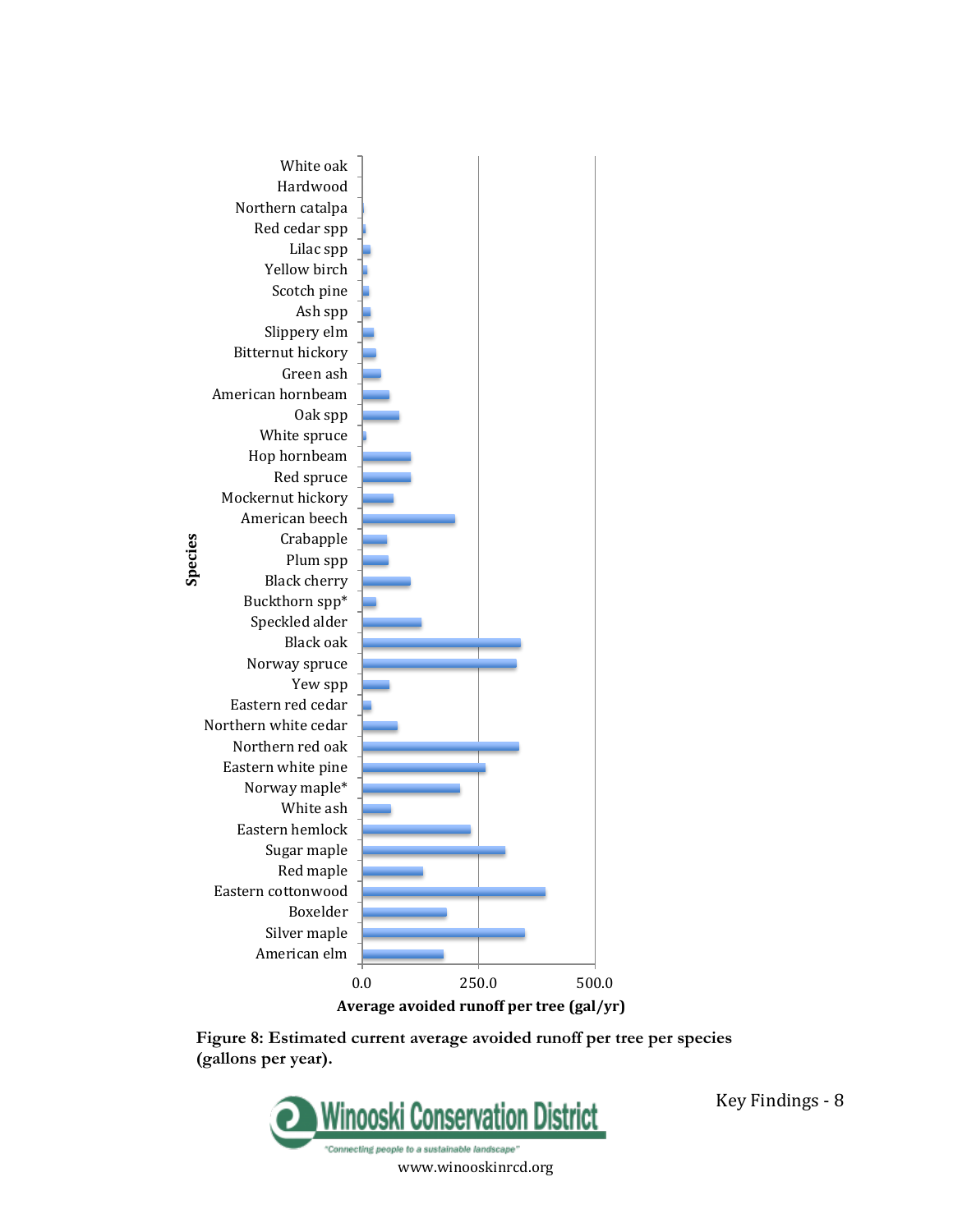

**Average avoided runoff per tree (gal/yr)**

**Figure 8: Estimated current average avoided runoff per tree per species (gallons per year).** 

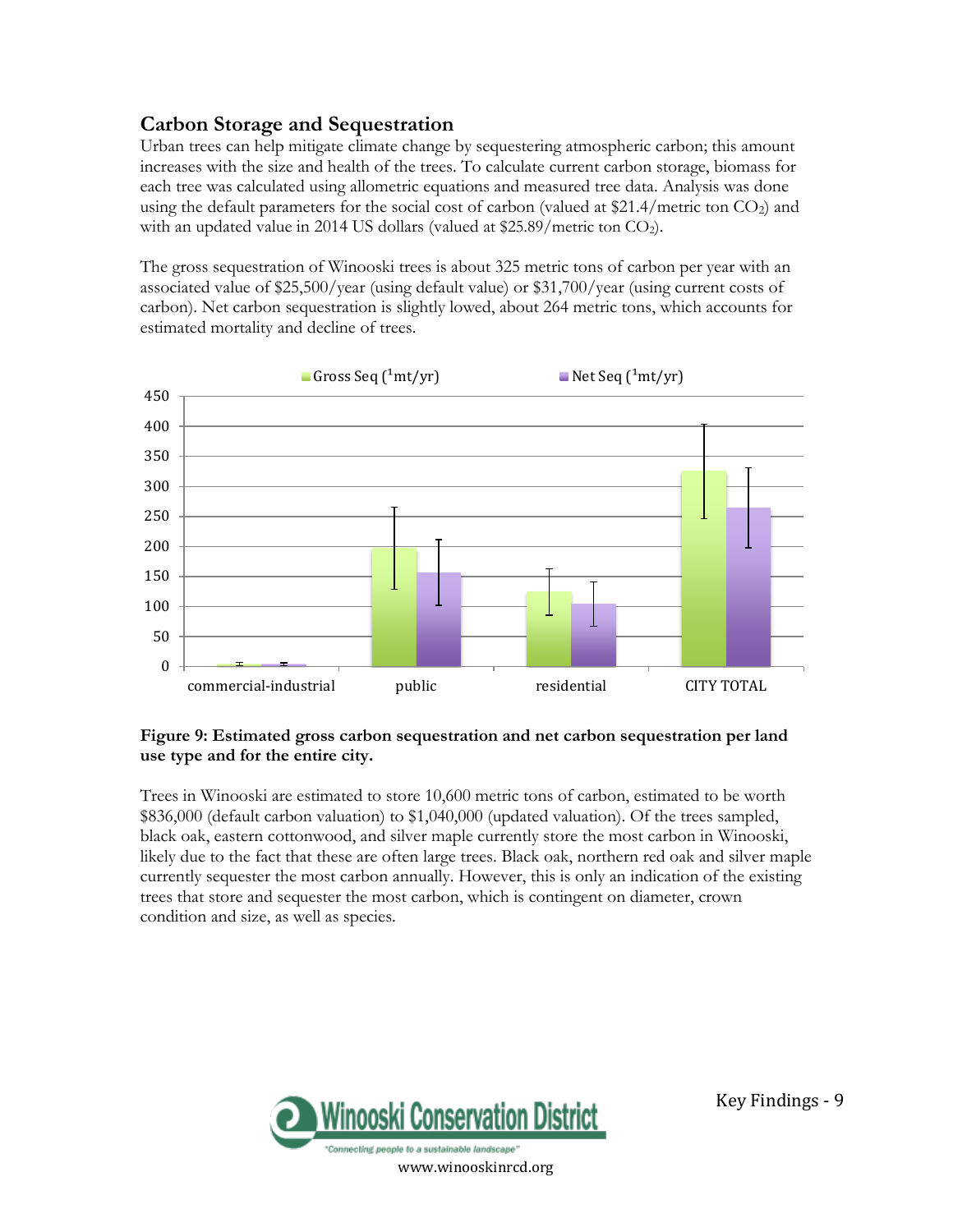### **Carbon Storage and Sequestration**

Urban trees can help mitigate climate change by sequestering atmospheric carbon; this amount increases with the size and health of the trees. To calculate current carbon storage, biomass for each tree was calculated using allometric equations and measured tree data. Analysis was done using the default parameters for the social cost of carbon (valued at  $$21.4/m$ etric ton  $CO<sub>2</sub>$ ) and with an updated value in 2014 US dollars (valued at  $$25.89/metric$  ton CO<sub>2</sub>).

The gross sequestration of Winooski trees is about 325 metric tons of carbon per year with an associated value of \$25,500/year (using default value) or \$31,700/year (using current costs of carbon). Net carbon sequestration is slightly lowed, about 264 metric tons, which accounts for estimated mortality and decline of trees.



#### **Figure 9: Estimated gross carbon sequestration and net carbon sequestration per land use type and for the entire city.**

Trees in Winooski are estimated to store 10,600 metric tons of carbon, estimated to be worth \$836,000 (default carbon valuation) to \$1,040,000 (updated valuation). Of the trees sampled, black oak, eastern cottonwood, and silver maple currently store the most carbon in Winooski, likely due to the fact that these are often large trees. Black oak, northern red oak and silver maple currently sequester the most carbon annually. However, this is only an indication of the existing trees that store and sequester the most carbon, which is contingent on diameter, crown condition and size, as well as species.

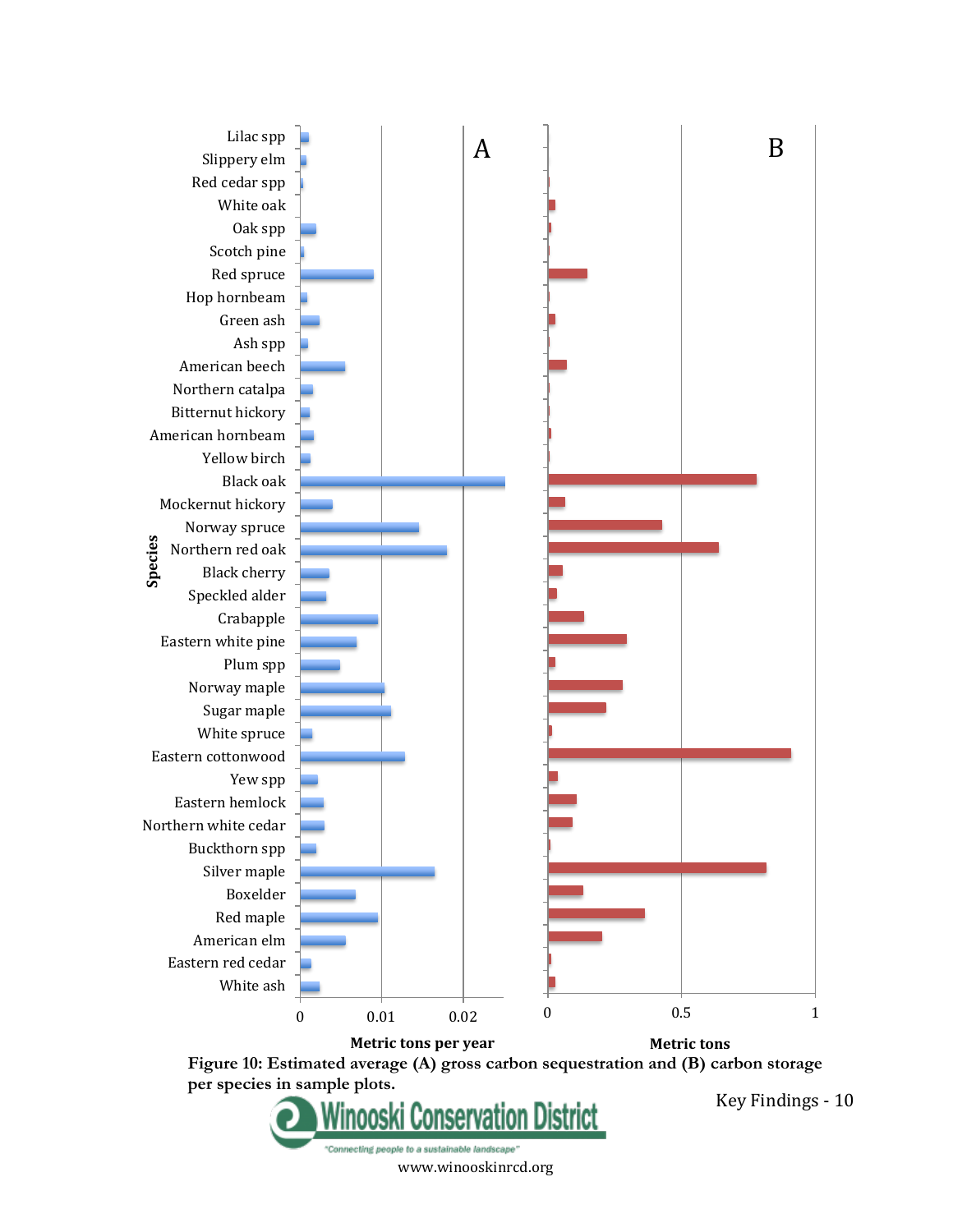

**Figure 10: Estimated average (A) gross carbon sequestration and (B) carbon storage per species in sample plots.**



Key Findings - 10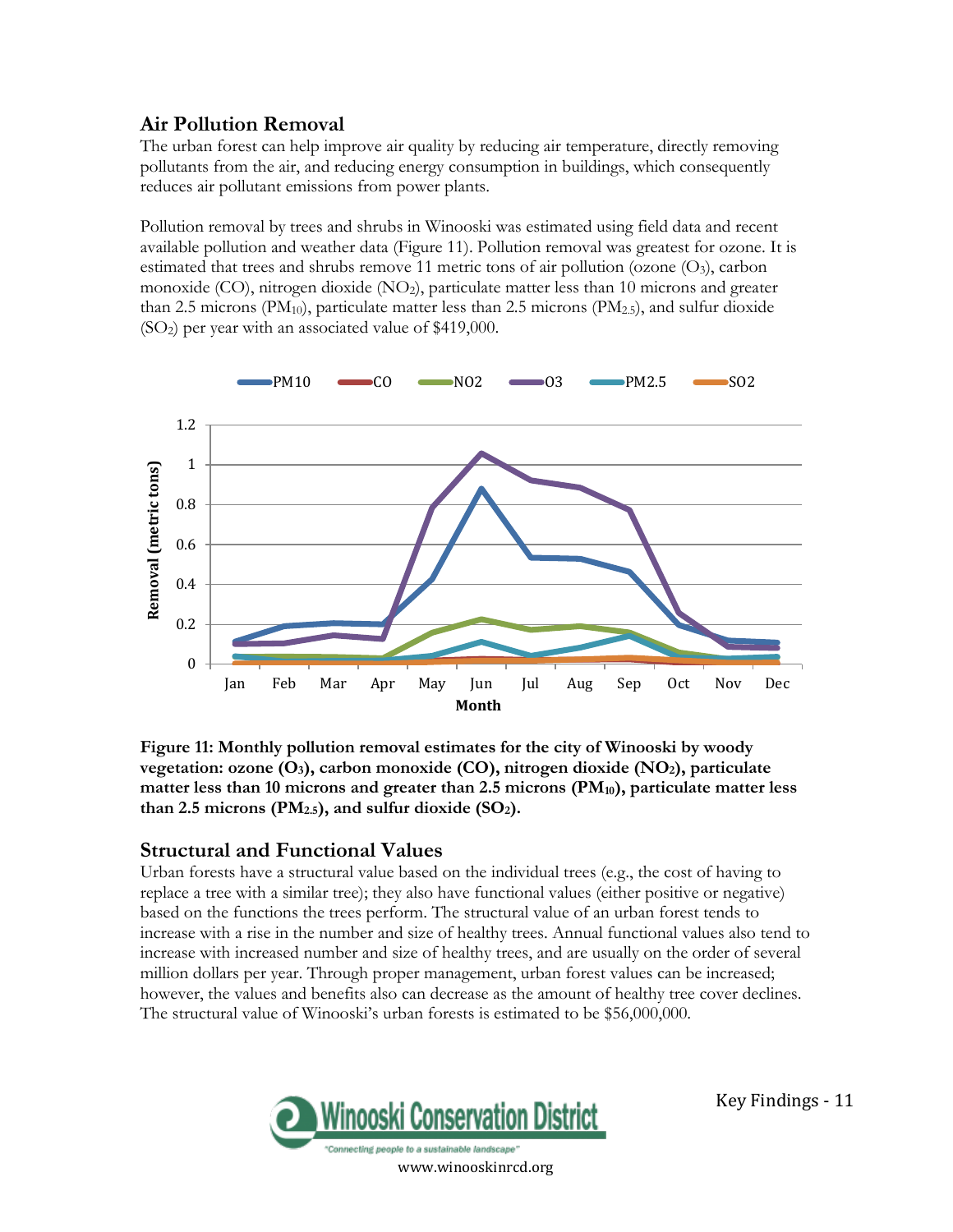### **Air Pollution Removal**

The urban forest can help improve air quality by reducing air temperature, directly removing pollutants from the air, and reducing energy consumption in buildings, which consequently reduces air pollutant emissions from power plants.

Pollution removal by trees and shrubs in Winooski was estimated using field data and recent available pollution and weather data (Figure 11). Pollution removal was greatest for ozone. It is estimated that trees and shrubs remove 11 metric tons of air pollution (ozone  $(O_3)$ , carbon monoxide (CO), nitrogen dioxide (NO2), particulate matter less than 10 microns and greater than 2.5 microns (PM<sub>10</sub>), particulate matter less than 2.5 microns (PM<sub>2.5</sub>), and sulfur dioxide (SO2) per year with an associated value of \$419,000.



**Figure 11: Monthly pollution removal estimates for the city of Winooski by woody vegetation: ozone (O3), carbon monoxide (CO), nitrogen dioxide (NO2), particulate matter less than 10 microns and greater than 2.5 microns (PM10), particulate matter less than 2.5 microns (PM2.5), and sulfur dioxide (SO2).** 

### **Structural and Functional Values**

Urban forests have a structural value based on the individual trees (e.g., the cost of having to replace a tree with a similar tree); they also have functional values (either positive or negative) based on the functions the trees perform. The structural value of an urban forest tends to increase with a rise in the number and size of healthy trees. Annual functional values also tend to increase with increased number and size of healthy trees, and are usually on the order of several million dollars per year. Through proper management, urban forest values can be increased; however, the values and benefits also can decrease as the amount of healthy tree cover declines. The structural value of Winooski's urban forests is estimated to be \$56,000,000.

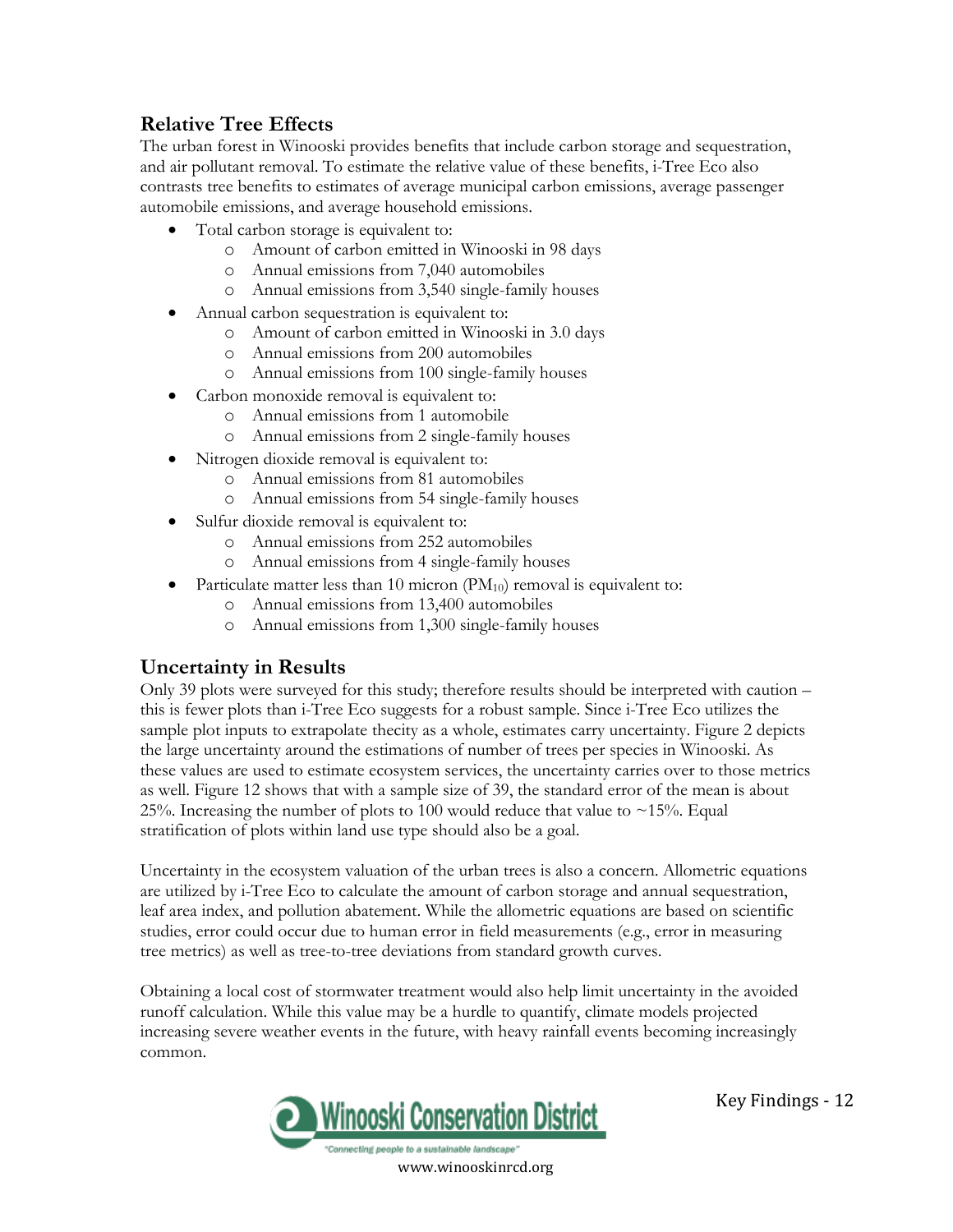#### **Relative Tree Effects**

The urban forest in Winooski provides benefits that include carbon storage and sequestration, and air pollutant removal. To estimate the relative value of these benefits, i-Tree Eco also contrasts tree benefits to estimates of average municipal carbon emissions, average passenger automobile emissions, and average household emissions.

- Total carbon storage is equivalent to:
	- o Amount of carbon emitted in Winooski in 98 days
	- o Annual emissions from 7,040 automobiles
	- o Annual emissions from 3,540 single-family houses
- Annual carbon sequestration is equivalent to:
	- o Amount of carbon emitted in Winooski in 3.0 days
	- o Annual emissions from 200 automobiles
	- o Annual emissions from 100 single-family houses
- Carbon monoxide removal is equivalent to:
	- o Annual emissions from 1 automobile
	- o Annual emissions from 2 single-family houses
- Nitrogen dioxide removal is equivalent to:
	- o Annual emissions from 81 automobiles
	- o Annual emissions from 54 single-family houses
- Sulfur dioxide removal is equivalent to:
	- o Annual emissions from 252 automobiles
	- o Annual emissions from 4 single-family houses
- Particulate matter less than 10 micron  $(PM_{10})$  removal is equivalent to:
	- o Annual emissions from 13,400 automobiles
	- o Annual emissions from 1,300 single-family houses

#### **Uncertainty in Results**

Only 39 plots were surveyed for this study; therefore results should be interpreted with caution – this is fewer plots than i-Tree Eco suggests for a robust sample. Since i-Tree Eco utilizes the sample plot inputs to extrapolate thecity as a whole, estimates carry uncertainty. Figure 2 depicts the large uncertainty around the estimations of number of trees per species in Winooski. As these values are used to estimate ecosystem services, the uncertainty carries over to those metrics as well. Figure 12 shows that with a sample size of 39, the standard error of the mean is about 25%. Increasing the number of plots to 100 would reduce that value to  $\sim$ 15%. Equal stratification of plots within land use type should also be a goal.

Uncertainty in the ecosystem valuation of the urban trees is also a concern. Allometric equations are utilized by i-Tree Eco to calculate the amount of carbon storage and annual sequestration, leaf area index, and pollution abatement. While the allometric equations are based on scientific studies, error could occur due to human error in field measurements (e.g., error in measuring tree metrics) as well as tree-to-tree deviations from standard growth curves.

Obtaining a local cost of stormwater treatment would also help limit uncertainty in the avoided runoff calculation. While this value may be a hurdle to quantify, climate models projected increasing severe weather events in the future, with heavy rainfall events becoming increasingly common.

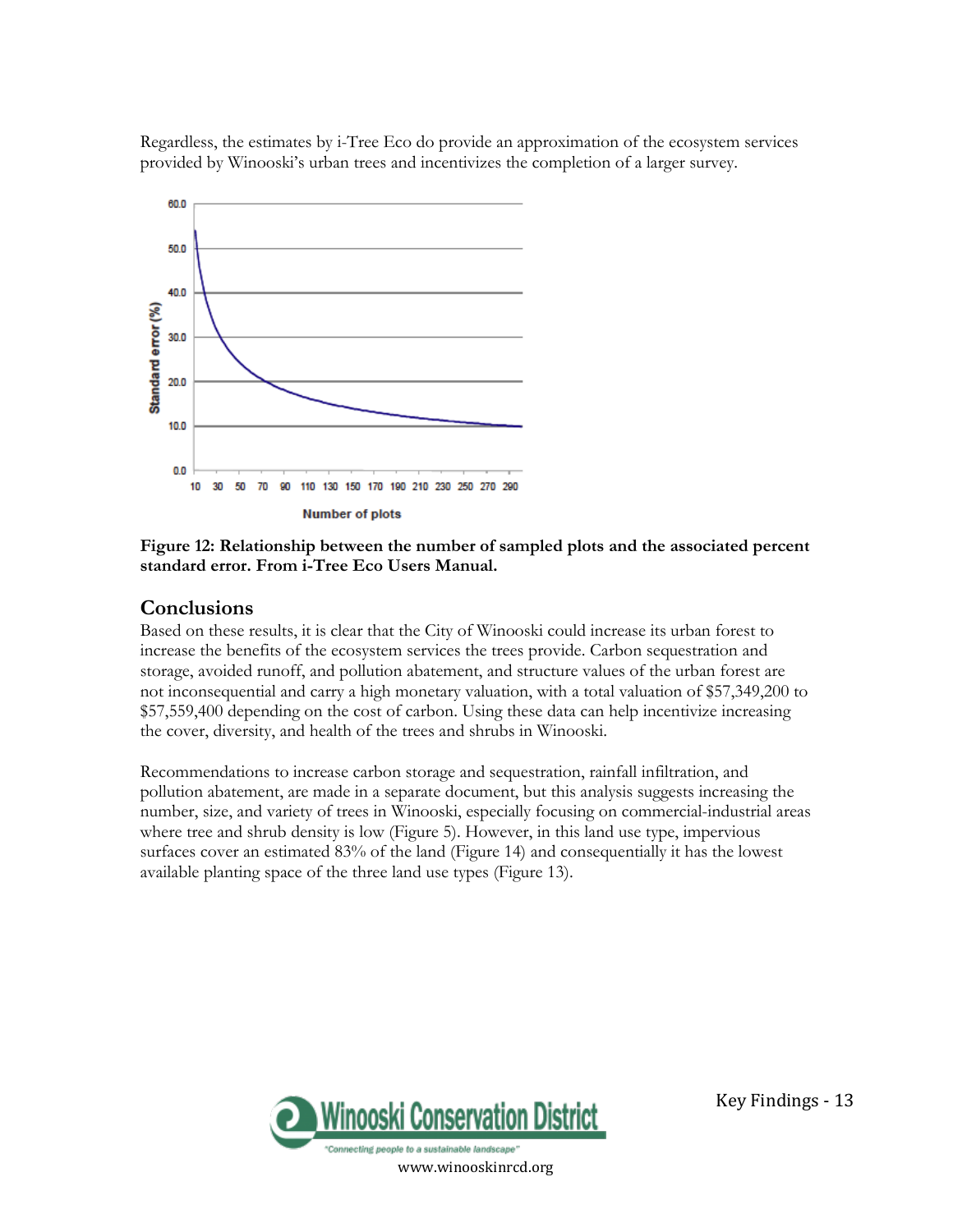Regardless, the estimates by i-Tree Eco do provide an approximation of the ecosystem services provided by Winooski's urban trees and incentivizes the completion of a larger survey.



#### **Figure 12: Relationship between the number of sampled plots and the associated percent standard error. From i-Tree Eco Users Manual.**

#### **Conclusions**

Based on these results, it is clear that the City of Winooski could increase its urban forest to increase the benefits of the ecosystem services the trees provide. Carbon sequestration and storage, avoided runoff, and pollution abatement, and structure values of the urban forest are not inconsequential and carry a high monetary valuation, with a total valuation of \$57,349,200 to \$57,559,400 depending on the cost of carbon. Using these data can help incentivize increasing the cover, diversity, and health of the trees and shrubs in Winooski.

Recommendations to increase carbon storage and sequestration, rainfall infiltration, and pollution abatement, are made in a separate document, but this analysis suggests increasing the number, size, and variety of trees in Winooski, especially focusing on commercial-industrial areas where tree and shrub density is low (Figure 5). However, in this land use type, impervious surfaces cover an estimated 83% of the land (Figure 14) and consequentially it has the lowest available planting space of the three land use types (Figure 13).